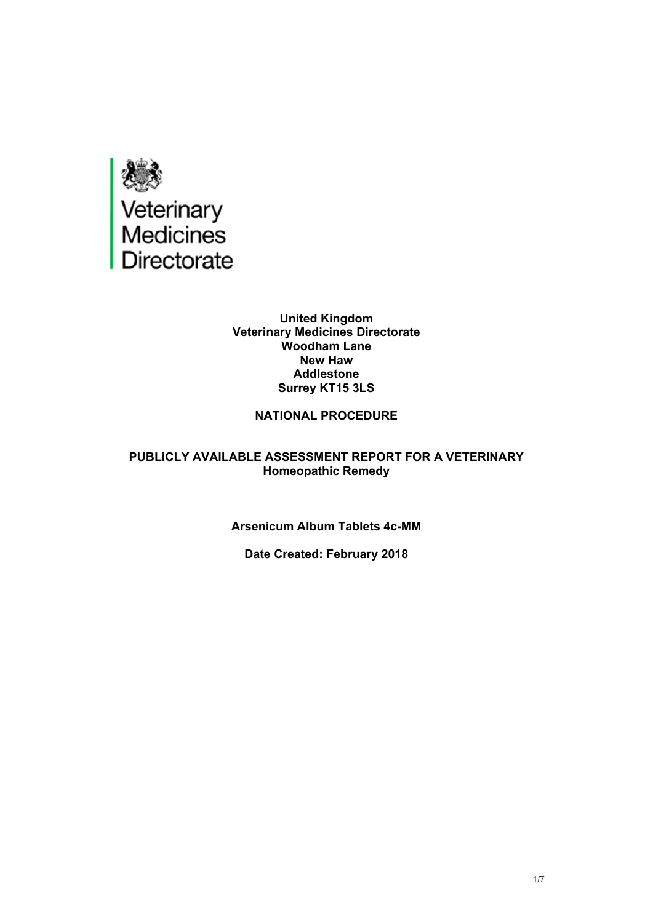

#### **United Kingdom Veterinary Medicines Directorate Woodham Lane New Haw Addlestone Surrey KT15 3LS**

### **NATIONAL PROCEDURE**

#### **PUBLICLY AVAILABLE ASSESSMENT REPORT FOR A VETERINARY Homeopathic Remedy**

#### **Arsenicum Album Tablets 4c-MM**

#### **Date Created: February 2018**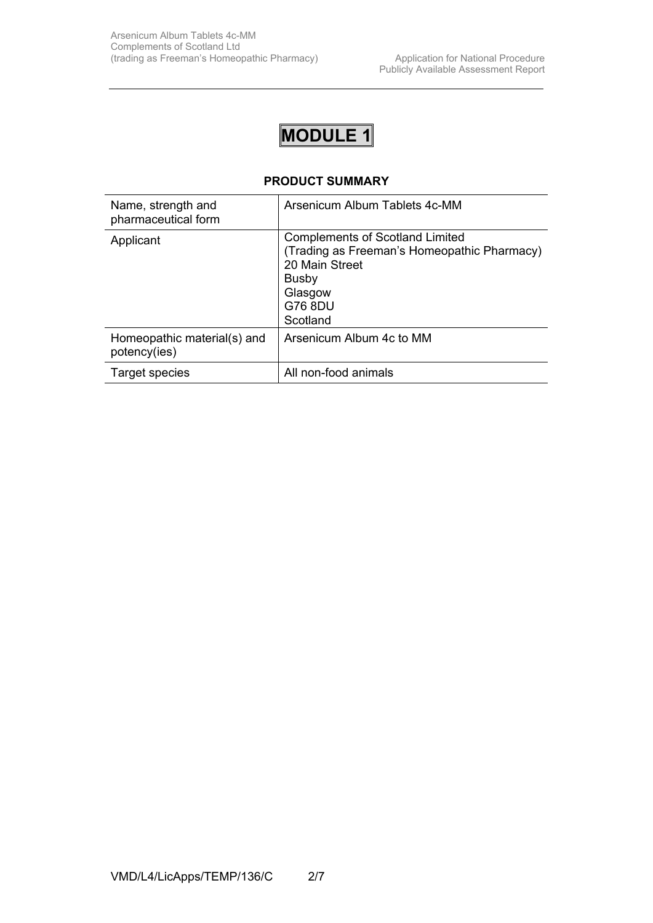# **MODULE 1**

#### **PRODUCT SUMMARY**

| Name, strength and<br>pharmaceutical form   | Arsenicum Album Tablets 4c-MM                                                                                                                             |
|---------------------------------------------|-----------------------------------------------------------------------------------------------------------------------------------------------------------|
| Applicant                                   | <b>Complements of Scotland Limited</b><br>(Trading as Freeman's Homeopathic Pharmacy)<br>20 Main Street<br><b>Busby</b><br>Glasgow<br>G76 8DU<br>Scotland |
| Homeopathic material(s) and<br>potency(ies) | Arsenicum Album 4c to MM                                                                                                                                  |
| Target species                              | All non-food animals                                                                                                                                      |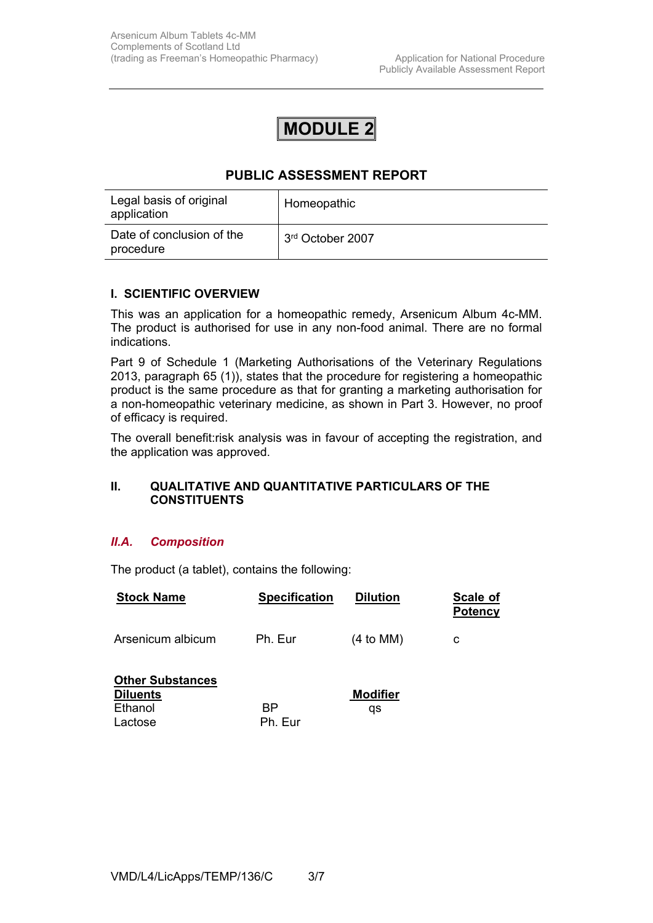## **MODULE 2**

## **PUBLIC ASSESSMENT REPORT**

| Legal basis of original<br>application | Homeopathic      |
|----------------------------------------|------------------|
| Date of conclusion of the<br>procedure | 3rd October 2007 |

#### **I. SCIENTIFIC OVERVIEW**

This was an application for a homeopathic remedy, Arsenicum Album 4c-MM. The product is authorised for use in any non-food animal. There are no formal indications.

Part 9 of Schedule 1 (Marketing Authorisations of the Veterinary Regulations 2013, paragraph 65 (1)), states that the procedure for registering a homeopathic product is the same procedure as that for granting a marketing authorisation for a non-homeopathic veterinary medicine, as shown in Part 3. However, no proof of efficacy is required.

The overall benefit:risk analysis was in favour of accepting the registration, and the application was approved.

#### **II. QUALITATIVE AND QUANTITATIVE PARTICULARS OF THE CONSTITUENTS**

#### *II.A. Composition*

The product (a tablet), contains the following:

| <b>Stock Name</b>                                                | <b>Specification</b> | <b>Dilution</b>       | Scale of<br><b>Potency</b> |
|------------------------------------------------------------------|----------------------|-----------------------|----------------------------|
| Arsenicum albicum                                                | Ph. Eur              | $(4 \text{ to MM})$   | с                          |
| <b>Other Substances</b><br><b>Diluents</b><br>Ethanol<br>Lactose | ВP<br>Ph. Eur        | <b>Modifier</b><br>qs |                            |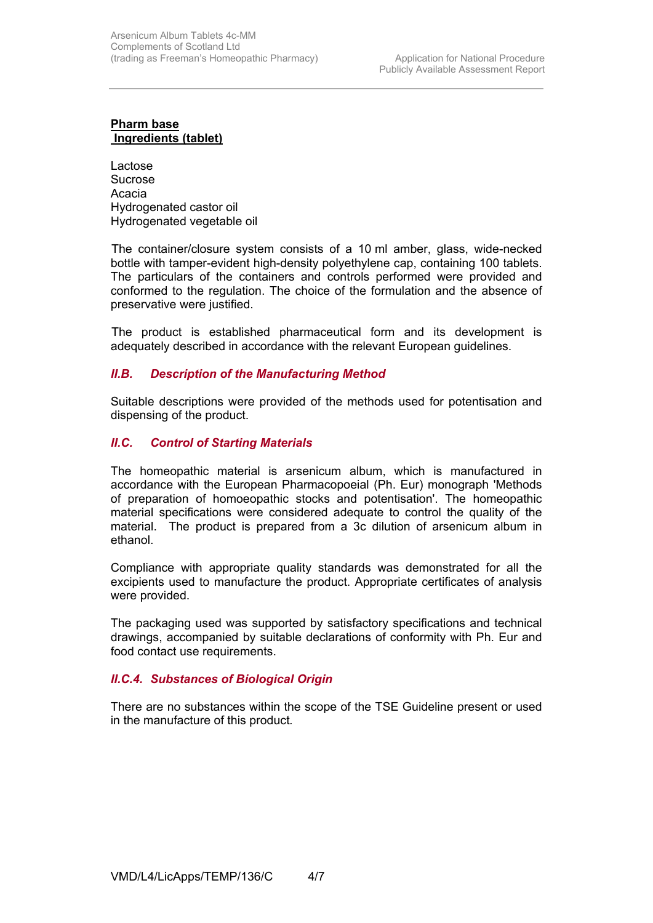#### **Pharm base Ingredients (tablet)**

Lactose Sucrose Acacia Hydrogenated castor oil Hydrogenated vegetable oil

 The container/closure system consists of a 10 ml amber, glass, wide-necked bottle with tamper-evident high-density polyethylene cap, containing 100 tablets. The particulars of the containers and controls performed were provided and conformed to the regulation. The choice of the formulation and the absence of preservative were justified.

 The product is established pharmaceutical form and its development is adequately described in accordance with the relevant European guidelines.

#### *II.B. Description of the Manufacturing Method*

Suitable descriptions were provided of the methods used for potentisation and dispensing of the product.

#### *II.C. Control of Starting Materials*

The homeopathic material is arsenicum album, which is manufactured in accordance with the European Pharmacopoeial (Ph. Eur) monograph 'Methods of preparation of homoeopathic stocks and potentisation'. The homeopathic material specifications were considered adequate to control the quality of the material. The product is prepared from a 3c dilution of arsenicum album in ethanol.

Compliance with appropriate quality standards was demonstrated for all the excipients used to manufacture the product. Appropriate certificates of analysis were provided.

The packaging used was supported by satisfactory specifications and technical drawings, accompanied by suitable declarations of conformity with Ph. Eur and food contact use requirements.

#### *II.C.4. Substances of Biological Origin*

There are no substances within the scope of the TSE Guideline present or used in the manufacture of this product*.*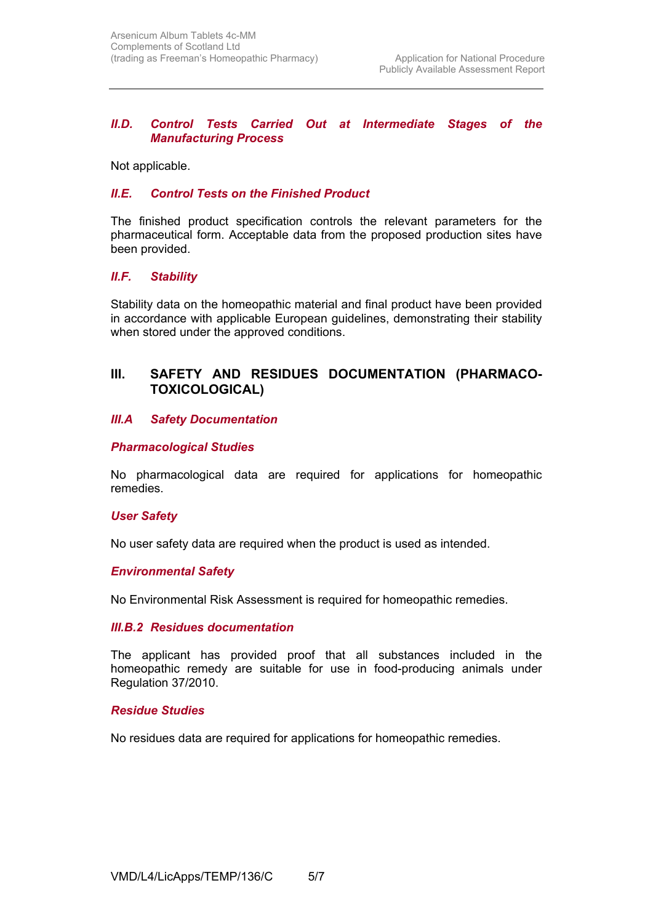#### *II.D. Control Tests Carried Out at Intermediate Stages of the Manufacturing Process*

Not applicable.

#### *II.E. Control Tests on the Finished Product*

The finished product specification controls the relevant parameters for the pharmaceutical form. Acceptable data from the proposed production sites have been provided.

#### *II.F. Stability*

Stability data on the homeopathic material and final product have been provided in accordance with applicable European guidelines, demonstrating their stability when stored under the approved conditions.

### **III. SAFETY AND RESIDUES DOCUMENTATION (PHARMACO-TOXICOLOGICAL)**

#### *III.A Safety Documentation*

#### *Pharmacological Studies*

No pharmacological data are required for applications for homeopathic remedies.

#### *User Safety*

No user safety data are required when the product is used as intended.

#### *Environmental Safety*

No Environmental Risk Assessment is required for homeopathic remedies.

#### *III.B.2 Residues documentation*

The applicant has provided proof that all substances included in the homeopathic remedy are suitable for use in food-producing animals under Regulation 37/2010.

#### *Residue Studies*

No residues data are required for applications for homeopathic remedies.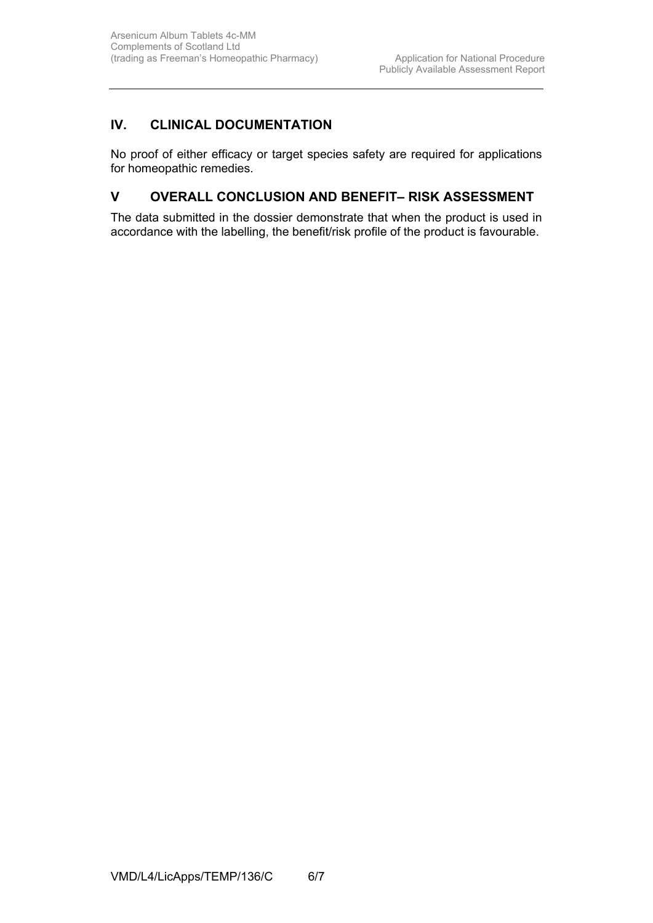## **IV. CLINICAL DOCUMENTATION**

No proof of either efficacy or target species safety are required for applications for homeopathic remedies.

## **V OVERALL CONCLUSION AND BENEFIT– RISK ASSESSMENT**

The data submitted in the dossier demonstrate that when the product is used in accordance with the labelling, the benefit/risk profile of the product is favourable.